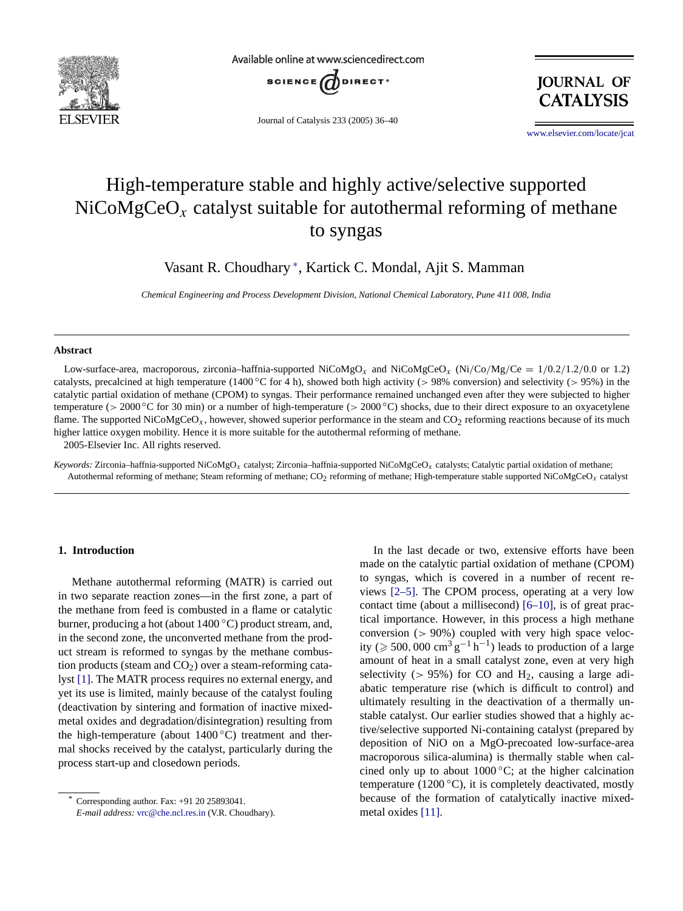

Available online at www.sciencedirect.com



Journal of Catalysis 233 (2005) 36–40

**JOURNAL OF CATALYSIS** 

www.elsevier.com/locate/jcat

# High-temperature stable and highly active/selective supported  $NiCoMgCeO<sub>x</sub>$  catalyst suitable for autothermal reforming of methane to syngas

Vasant R. Choudhary <sup>∗</sup> , Kartick C. Mondal, Ajit S. Mamman

*Chemical Engineering and Process Development Division, National Chemical Laboratory, Pune 411 008, India*

### **Abstract**

Low-surface-area, macroporous, zirconia–haffnia-supported NiCoMgO<sub>x</sub> and NiCoMgCeO<sub>x</sub> (Ni/Co/Mg/Ce = 1/0*.*2/1*.*2/0*.*0 or 1.2) catalysts, precalcined at high temperature (1400 ◦C for 4 h), showed both high activity (*>* 98% conversion) and selectivity (*>* 95%) in the catalytic partial oxidation of methane (CPOM) to syngas. Their performance remained unchanged even after they were subjected to higher temperature (*>* 2000 ◦C for 30 min) or a number of high-temperature (*>* 2000 ◦C) shocks, due to their direct exposure to an oxyacetylene flame. The supported NiCoMgCeO<sub>x</sub>, however, showed superior performance in the steam and  $CO<sub>2</sub>$  reforming reactions because of its much higher lattice oxygen mobility. Hence it is more suitable for the autothermal reforming of methane. 2005-Elsevier Inc. All rights reserved.

*Keywords:* Zirconia–haffnia-supported NiCoMgO*x* catalyst; Zirconia–haffnia-supported NiCoMgCeO*x* catalysts; Catalytic partial oxidation of methane; Autothermal reforming of methane; Steam reforming of methane; CO<sub>2</sub> reforming of methane; High-temperature stable supported NiCoMgCeO<sub>x</sub> catalyst

## **1. Introduction**

Methane autothermal reforming (MATR) is carried out in two separate reaction zones—in the first zone, a part of the methane from feed is combusted in a flame or catalytic burner, producing a hot (about 1400 ◦C) product stream, and, in the second zone, the unconverted methane from the product [stre](#page-4-0)am is reformed to syngas by the methane combustion products (steam and  $CO<sub>2</sub>$ ) over a steam-reforming catalyst [1]. The MATR process requires no external energy, and yet its use is limited, mainly because of the catalyst fouling (deactivation by sintering and formation of inactive mixedmetal oxides and degradation/disintegration) resulting from the high-temperature (about  $1400\degree C$ ) treatment and thermal shocks received by the catalyst, particularly during the process start-up and closedown periods.

In the last decade or two, extensive efforts have been made [on](#page-4-0) [the](#page-4-0) catalytic partial oxidation of methane (CPOM) to syngas, which is covered in [a](#page-4-0) [numb](#page-4-0)er of recent reviews [2–5]. The CPOM process, operating at a very low contact time (about a millisecond) [6–10], is of great practical importance. However, in this process a high methane conversion (*>* 90%) coupled with very high space velocity ( $\geq 500,000$  cm<sup>3</sup> g<sup>-1</sup> h<sup>-1</sup>) leads to production of a large amount of heat in a small catalyst zone, even at very high selectivity ( $> 95\%$ ) for CO and H<sub>2</sub>, causing a large adiabatic temperature rise (which is difficult to control) and ultimately resulting in the deactivation of a thermally unstable catalyst. Our earlier studies showed that a highly active/selective supported Ni-containing catalyst (prepared by deposition of NiO on a MgO-precoated low-surface-area macroporous silica-alumina) is thermally stable when calcined only up to about  $1000\,^{\circ}\text{C}$ ; at the higher calcination temperature [\(1200](#page-4-0) $\degree$ C), it is completely deactivated, mostly because of the formation of catalytically inactive mixedmetal oxides [11].

Corresponding author. Fax: +91 20 25893041. *E-mail address:* vrc@che.ncl.res.in (V.R. Choudhary).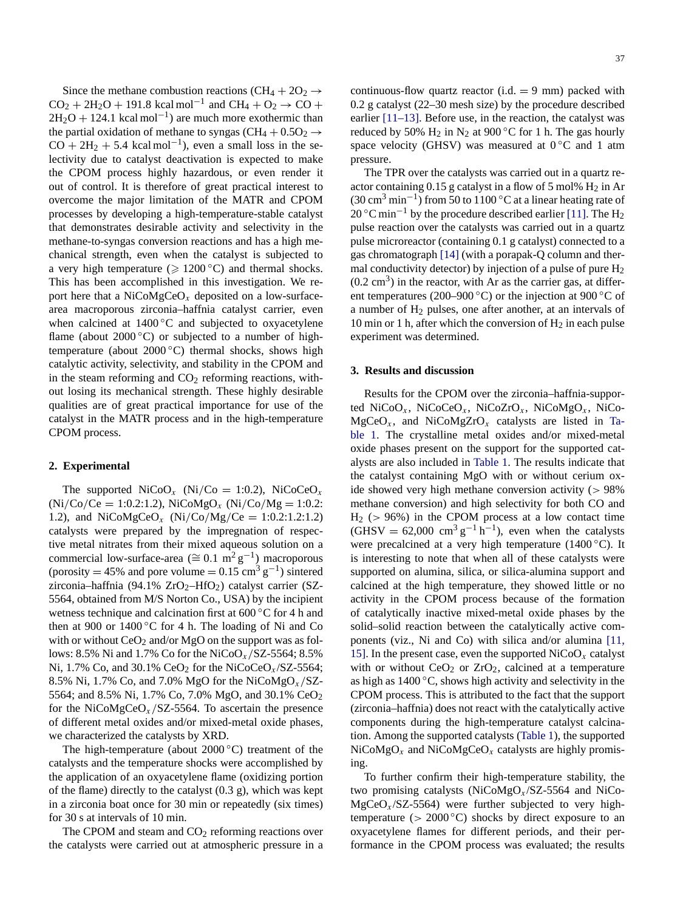Since the methane combustion reactions (CH<sub>4</sub> +  $2O<sub>2</sub>$   $\rightarrow$  $CO_2 + 2H_2O + 191.8$  kcal mol<sup>-1</sup> and CH<sub>4</sub> + O<sub>2</sub> → CO +  $2H_2O + 124.1$  kcal mol<sup>-1</sup>) are much more exothermic than the partial oxidation of methane to syngas (CH<sub>4</sub> +  $0.5O<sub>2</sub>$   $\rightarrow$  $CO + 2H<sub>2</sub> + 5.4$  kcal mol<sup>-1</sup>), even a small loss in the selectivity due to catalyst deactivation is expected to make the CPOM process highly hazardous, or even render it out of control. It is therefore of great practical interest to overcome the major limitation of the MATR and CPOM processes by developing a high-temperature-stable catalyst that demonstrates desirable activity and selectivity in the methane-to-syngas conversion reactions and has a high mechanical strength, even when the catalyst is subjected to a very high temperature ( $\geq 1200$ °C) and thermal shocks. This has been accomplished in this investigation. We report here that a NiCoMgCeO*<sup>x</sup>* deposited on a low-surfacearea macroporous zirconia–haffnia catalyst carrier, even when calcined at 1400 ℃ and subjected to oxyacetylene flame (about  $2000\degree C$ ) or subjected to a number of hightemperature (about  $2000 °C$ ) thermal shocks, shows high catalytic activity, selectivity, and stability in the CPOM and in the steam reforming and  $CO<sub>2</sub>$  reforming reactions, without losing its mechanical strength. These highly desirable qualities are of great practical importance for use of the catalyst in the MATR process and in the high-temperature CPOM process.

# **2. Experimental**

The supported  $\text{NiCoO}_x$  (Ni/Co = 1:0.2), NiCoCeO<sub>x</sub> (Ni*/*Co*/*Ce = 1:0.2:1.2), NiCoMgO*<sup>x</sup>* (Ni*/*Co*/*Mg = 1:0.2: 1.2), and NiCoMgCeO*<sup>x</sup>* (Ni*/*Co*/*Mg*/*Ce = 1:0.2:1.2:1.2) catalysts were prepared by the impregnation of respective metal nitrates from their mixed aqueous solution on a commercial low-surface-area ( $\cong$  0.1 m<sup>2</sup> g<sup>-1</sup>) macroporous (porosity = 45% and pore volume =  $0.15 \text{ cm}^3 \text{ g}^{-1}$ ) sintered zirconia–haffnia (94.1%  $ZrO_2$ –HfO<sub>2</sub>) catalyst carrier (SZ-5564, obtained from M/S Norton Co., USA) by the incipient wetness technique and calcination first at 600 ◦C for 4 h and then at 900 or  $1400\degree$ C for 4 h. The loading of Ni and Co with or without  $CeO<sub>2</sub>$  and/or MgO on the support was as follows: 8.5% Ni and 1.7% Co for the NiCoO*<sup>x</sup> /*SZ-5564; 8.5% Ni,  $1.7\%$  Co, and  $30.1\%$  CeO<sub>2</sub> for the NiCoCeO<sub>x</sub>/SZ-5564; 8.5% Ni, 1.7% Co, and 7.0% MgO for the NiCoMgO*<sup>x</sup> /*SZ-5564; and 8.5% Ni, 1.7% Co, 7.0% MgO, and 30.1% CeO2 for the NiCoMgCeO*<sup>x</sup> /*SZ-5564. To ascertain the presence of different metal oxides and/or mixed-metal oxide phases, we characterized the catalysts by XRD.

The high-temperature (about  $2000\,^{\circ}\text{C}$ ) treatment of the catalysts and the temperature shocks were accomplished by the application of an oxyacetylene flame (oxidizing portion of the flame) directly to the catalyst (0.3 g), which was kept in a zirconia boat once for 30 min or repeatedly (six times) for 30 s at intervals of 10 min.

The CPOM and steam and  $CO<sub>2</sub>$  reforming reactions over the catalysts were carried out at atmospheric pressure in a contin[uous-flow](#page-4-0) quartz reactor  $(i.d. = 9$  mm) packed with 0.2 g catalyst (22–30 mesh size) by the procedure described earlier [11–13]. Before use, in the reaction, the catalyst was reduced by 50%  $H_2$  in N<sub>2</sub> at 900 °C for 1 h. The gas hourly space velocity (GHSV) was measured at  $0^{\circ}$ C and 1 atm pressure.

The TPR over the catalysts was carried out in a quartz reactor containing  $0.15$  g catalyst in a flow of 5 m[ol%](#page-4-0)  $H_2$  $H_2$  in Ar (30 cm<sup>3</sup> min<sup>-1</sup>) from 50 to 1100 °C at a linear heating rate of  $20$  °C min<sup>-1</sup> by the procedure described earlier [11]. The H<sub>2</sub> pulse reaction over [the](#page-4-0) [c](#page-4-0)atalysts was carried out in a quartz pulse microreactor (containing 0.1 g catalyst) connected to a gas chromatograph [14] (with a porapak-Q column and thermal conductivity detector) by injection of a pulse of pure  $H_2$  $(0.2 \text{ cm}^3)$  in the reactor, with Ar as the carrier gas, at different temperatures (200–900 °C) or the injection at 900 °C of a number of  $H_2$  pulses, one after another, at an intervals of 10 min or 1 h, after which the conversion of  $H_2$  in each pulse experiment was determined.

#### **3. Results and discussion**

Results for the CPOM over the zirconia–haffnia-sup[por](#page-2-0)[ted](#page-2-0) [N](#page-2-0)iCoO*<sup>x</sup>* , NiCoCeO*x*, NiCoZrO*<sup>x</sup>* , NiCoMgO*x*, NiCo- $MgCeO<sub>x</sub>$ , and NiCoMgZrO<sub>x</sub> catalysts are listed in Table 1. The crystalline [metal](#page-2-0) [oxi](#page-2-0)des and/or mixed-metal oxide phases present on the support for the supported catalysts are also included in Table 1. The results indicate that the catalyst containing MgO with or without cerium oxide showed very high methane conversion activity (*>* 98% methane conversion) and high selectivity for both CO and H2 (*>* 96%) in the CPOM process at a low contact time  $(GHSV = 62,000 cm<sup>3</sup> g<sup>-1</sup> h<sup>-1</sup>)$ , even when the catalysts were precalcined at a very high temperature (1400 ◦C). It is interesting to note that when all of these catalysts were supported on alumina, silica, or silica-alumina support and calcined at the high temperature, they showed little or no activity in the CPOM process because of the formation of catalytically inactive mixed-metal oxide phases b[y](#page-4-0) [the](#page-4-0) [soli](#page-4-0)d–solid reaction between the catalytically active components (viz., Ni and Co) with silica and/or alumina [11, 15]. In the present case, even the supported  $NiCoO<sub>x</sub>$  catalyst with or without  $CeO<sub>2</sub>$  or  $ZrO<sub>2</sub>$ , calcined at a temperature as high as  $1400\,^{\circ}\text{C}$ , shows high activity and selectivity in the CPOM process. This is attributed to the fact that the support (zirconia–haffnia) does not react wit[h](#page-2-0) [the](#page-2-0) [cata](#page-2-0)lytically active components during the high-temperature catalyst calcination. Among the supported catalysts (Table 1), the supported  $NiCoMgO<sub>x</sub>$  and  $NiCoMgCeO<sub>x</sub>$  catalysts are highly promising.

To further confirm their high-temperature stability, the two promising catalysts (NiCoMgO*x*/SZ-5564 and NiCo- $MgCeO<sub>x</sub>/SZ-5564$ ) were further subjected to very hightemperature  $(> 2000 °C)$  shocks by direct exposure to an oxyacetylene flames for different periods, and their performance in the CPOM process was evaluated; the results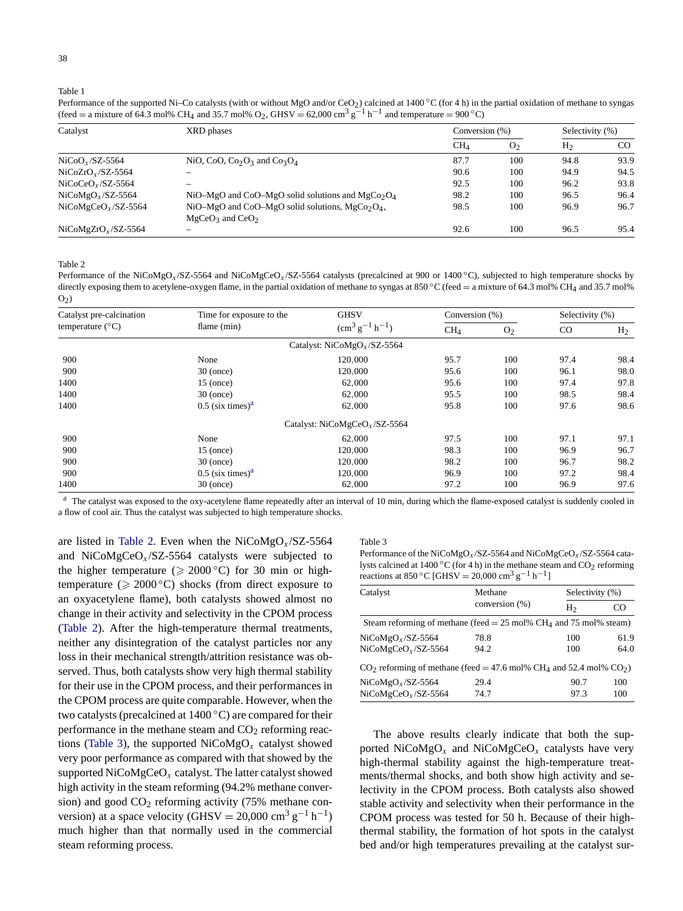Table 1

<span id="page-2-0"></span>38

Performance of the supported Ni–Co catalysts (with or without MgO and/or CeO<sub>2</sub>) calcined at 1400 °C (for 4 h) in the partial oxidation of methane to syngas (feed = a mixture of 64.3 mol% CH<sub>4</sub> and 35.7 mol% O<sub>2</sub>, GHSV = 62,000 cm<sup>3</sup> g<sup>-1</sup> h<sup>-1</sup> and temperature = 900 °C)

| Catalyst             | XRD phases                                                                  | Conversion (%)  |                | Selectivity (%) |      |
|----------------------|-----------------------------------------------------------------------------|-----------------|----------------|-----------------|------|
|                      |                                                                             | CH <sub>A</sub> | O <sub>2</sub> | H <sub>2</sub>  | CO.  |
| $NiCoOx/SZ-5564$     | NiO, CoO, Co <sub>2</sub> O <sub>3</sub> and Co <sub>3</sub> O <sub>4</sub> | 87.7            | 100            | 94.8            | 93.9 |
| $NiCoZrOx/SZ-5564$   |                                                                             | 90.6            | 100            | 94.9            | 94.5 |
| $NiCoCeOx/SZ-5564$   |                                                                             | 92.5            | 100            | 96.2            | 93.8 |
| $NiCoMgOx/SZ-5564$   | NiO-MgO and CoO-MgO solid solutions and MgCo <sub>2</sub> O <sub>4</sub>    | 98.2            | 100            | 96.5            | 96.4 |
| $NiCoMgCeOx/SZ-5564$ | NiO-MgO and CoO-MgO solid solutions, $MgCo2O4$ ,<br>$MgCeO3$ and $CeO2$     | 98.5            | 100            | 96.9            | 96.7 |
| $NiCoMgZrOx/SZ-5564$ |                                                                             | 92.6            | 100            | 96.5            | 95.4 |

Table 2

Performance of the NiCoMgO*x* /SZ-5564 and NiCoMgCeO*x* /SZ-5564 catalysts (precalcined at 900 or 1400 ◦C), subjected to high temperature shocks by directly exposing them to acetylene-oxygen flame, in the partial oxidation of methane to syngas at 850 °C (feed = a mixture of 64.3 mol% CH<sub>4</sub> and 35.7 mol%  $O<sub>2</sub>$ )

| Catalyst pre-calcination<br>temperature $(^{\circ}C)$ | Time for exposure to the<br>flame (min) | <b>GHSV</b><br>$\rm (cm^3\,g^{-1}\,h^{-1})$ | Conversion (%)  |                | Selectivity (%) |                |
|-------------------------------------------------------|-----------------------------------------|---------------------------------------------|-----------------|----------------|-----------------|----------------|
|                                                       |                                         |                                             | CH <sub>4</sub> | O <sub>2</sub> | CO              | H <sub>2</sub> |
|                                                       |                                         | Catalyst: $NiCoMgOx/SZ-5564$                |                 |                |                 |                |
| 900                                                   | None                                    | 120,000                                     | 95.7            | 100            | 97.4            | 98.4           |
| 900                                                   | $30$ (once)                             | 120,000                                     | 95.6            | 100            | 96.1            | 98.0           |
| 1400                                                  | $15$ (once)                             | 62,000                                      | 95.6            | 100            | 97.4            | 97.8           |
| 1400                                                  | $30$ (once)                             | 62,000                                      | 95.5            | 100            | 98.5            | 98.4           |
| 1400                                                  | $0.5$ (six times) <sup>a</sup>          | 62,000                                      | 95.8            | 100            | 97.6            | 98.6           |
|                                                       |                                         | Catalyst: $NiCoMgCeOx/SZ-5564$              |                 |                |                 |                |
| 900                                                   | None                                    | 62,000                                      | 97.5            | 100            | 97.1            | 97.1           |
| 900                                                   | $15$ (once)                             | 120,000                                     | 98.3            | 100            | 96.9            | 96.7           |
| 900                                                   | $30$ (once)                             | 120,000                                     | 98.2            | 100            | 96.7            | 98.2           |
| 900                                                   | $0.5$ (six times) <sup>a</sup>          | 120,000                                     | 96.9            | 100            | 97.2            | 98.4           |
| 1400                                                  | $30$ (once)                             | 62,000                                      | 97.2            | 100            | 96.9            | 97.6           |

<sup>a</sup> The catalyst was exposed to the oxy-acetylene flame repeatedly after an interval of 10 min, during which the flame-exposed catalyst is suddenly cooled in a flow of cool air. Thus the catalyst was subjected to high temperature shocks.

are listed in Table 2. Even when the NiCoMgO<sub>x</sub>/SZ-5564 and NiCoMgCeO*x*/SZ-5564 catalysts were subjected to the higher temperature ( $\geq 2000$ °C) for 30 min or hightemperature ( $\geq 2000^{\circ}$ C) shocks (from direct exposure to an oxyacetylene flame), both catalysts showed almost no change in their activity and selectivity in the CPOM process (Table 2). After the high-temperature thermal treatments, neither any disintegration of the catalyst particles nor any loss in their mechanical strength/attrition resistance was observed. Thus, both catalysts show very high thermal stability for their use in the CPOM process, and their performances in the CPOM process are quite comparable. However, when the two catalysts (precalcined at 1400 ◦C) are compared for their performance in the methane steam and  $CO<sub>2</sub>$  reforming reactions (Table 3), the supported NiCoMgO*<sup>x</sup>* catalyst showed very poor performance as compared with that showed by the supported NiCoMgCeO*<sup>x</sup>* catalyst. The latter catalyst showed high activity in the steam reforming (94.2% methane conversion) and good  $CO<sub>2</sub>$  reforming activity (75% methane conversion) at a space velocity (GHSV = 20,000 cm<sup>3</sup> g<sup>-1</sup> h<sup>-1</sup>) much higher than that normally used in the commercial steam reforming process.

#### Table 3

| Performance of the NiCoMgO <sub>r</sub> /SZ-5564 and NiCoMgCeO <sub>r</sub> /SZ-5564 cata- |  |
|--------------------------------------------------------------------------------------------|--|
| lysts calcined at 1400 °C (for 4 h) in the methane steam and $CO2$ reforming               |  |
| reactions at 850 °C [GHSV = 20.000 cm <sup>3</sup> g <sup>-1</sup> h <sup>-1</sup> ]       |  |

| Catalyst                                                                                     | Methane        | Selectivity (%) |      |  |
|----------------------------------------------------------------------------------------------|----------------|-----------------|------|--|
|                                                                                              | conversion (%) | H               | CΟ   |  |
| Steam reforming of methane (feed = 25 mol% CH <sub>4</sub> and 75 mol% steam)                |                |                 |      |  |
| $NiCoMgOx/SZ-5564$                                                                           | 78.8           | 100             | 61.9 |  |
| $NiCoMgCeOx/SZ-5564$                                                                         | 94.2           | 100             | 64.0 |  |
| $CO2$ reforming of methane (feed = 47.6 mol% CH <sub>4</sub> and 52.4 mol% CO <sub>2</sub> ) |                |                 |      |  |
| $NiCoMgOx/SZ-5564$                                                                           | 29.4           | 90.7            | 100  |  |
| $NiCoMgCeOx/SZ-5564$                                                                         | 74.7           | 97.3            | 100  |  |

The above results clearly indicate that both the supported  $NiCoMgO<sub>x</sub>$  and  $NiCoMgCeO<sub>x</sub>$  catalysts have very high-thermal stability against the high-temperature treatments/thermal shocks, and both show high activity and selectivity in the CPOM process. Both catalysts also showed stable activity and selectivity when their performance in the CPOM process was tested for 50 h. Because of their highthermal stability, the formation of hot spots in the catalyst bed and/or high temperatures prevailing at the catalyst sur-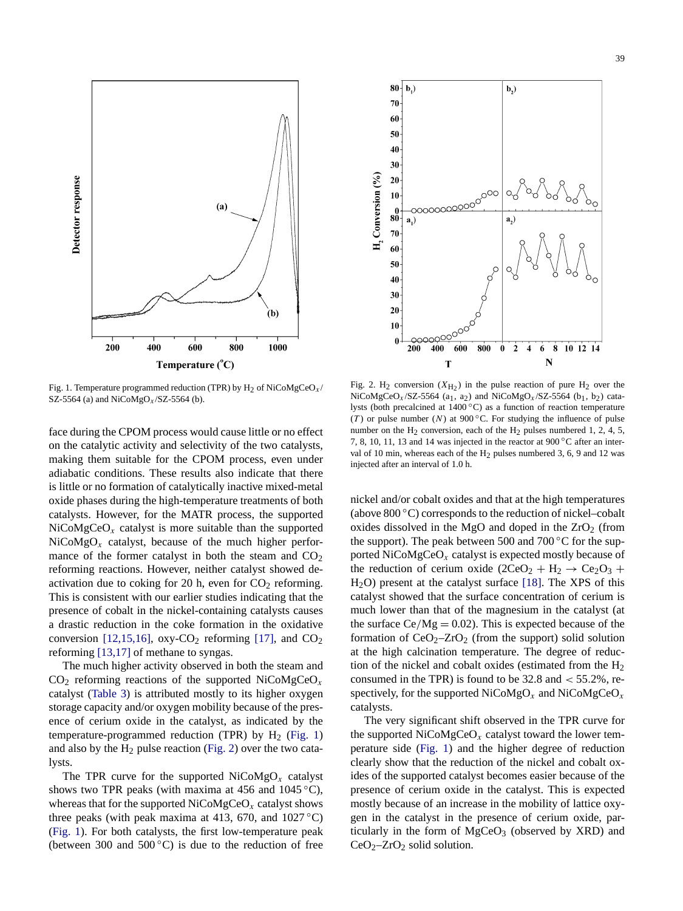<span id="page-3-0"></span>

 $80<sub>1</sub>$  $$ **<sub>2</sub>)** 70 60 50 40 30 H, Conversion (%) 20  $10$  $\frac{0}{80}$  $a_{n}$  $a<sub>1</sub>$ 70 60 50 40 30 20 10 <u> ୧୦୦୦୦୦୦</u>  $\mathbf{0}$  $400$ 10 12 14  $200$ 600 800  $\overline{2}$  $\lambda$  $\dot{8}$  $\bf{0}$ 6 N T

Fig. 1. Temperature programmed reduction (TPR) by H2 of NiCoMgCeO*x* / SZ-5564 (a) and NiCoMgO*x* /SZ-5564 (b).

face during the CPOM process would cause little or no effect on the catalytic activity and selectivity of the two catalysts, making them suitable for the CPOM process, even under adiabatic conditions. These results also indicate that there is little or no formation of catalytically inactive mixed-metal oxide phases during the high-temperature treatments of both catalysts. However, for the MATR process, the supported  $NiCoMgCeO<sub>x</sub>$  catalyst is more suitable than the supported NiCoMgO*<sup>x</sup>* catalyst, because of the much higher performance of the former catalyst in both the steam and  $CO<sub>2</sub>$ reforming reactions. However, neither catalyst showed deactivation due to coking for 20 h, even for  $CO<sub>2</sub>$  reforming. This is consistent with our earlier studies indicating that the presence of [cobalt](#page-4-0) [in](#page-4-0) [t](#page-4-0)he nickel-containing [cataly](#page-4-0)sts causes a drastic [reduction](#page-4-0) in the coke formation in the oxidative conversion [12,15,16],  $oxy-CO<sub>2</sub>$  reforming [17], and  $CO<sub>2</sub>$ reforming [13,17] of methane to syngas.

The [much](#page-2-0) [high](#page-2-0)er activity observed in both the steam and CO2 reforming reactions of the supported NiCoMgCeO*<sup>x</sup>* catalyst (Table 3) is attributed mostly to its higher oxygen storage capacity and/or oxygen mobility because of the presence of cerium oxide in the catalyst, as indicated by the temperature-programmed reduction (TPR) by  $H_2$  (Fig. 1) and also by the  $H_2$  pulse reaction (Fig. 2) over the two catalysts.

The TPR curve for the supported  $NiCoMgO<sub>x</sub>$  catalyst shows two TPR peaks (with maxima at 456 and 1045  $\degree$ C), whereas that for the supported NiCoMgCeO*<sup>x</sup>* catalyst shows three peaks (with peak maxima at 413, 670, and  $1027 \degree$ C) (Fig. 1). For both catalysts, the first low-temperature peak (between 300 and  $500^{\circ}$ C) is due to the reduction of free

Fig. 2. H<sub>2</sub> conversion  $(X_{H_2})$  in the pulse reaction of pure H<sub>2</sub> over the NiCoMgCeO<sub>x</sub>/SZ-5564 (a<sub>1</sub>, a<sub>2</sub>) and NiCoMgO<sub>x</sub>/SZ-5564 (b<sub>1</sub>, b<sub>2</sub>) catalysts (both precalcined at 1400 ◦C) as a function of reaction temperature (*T*) or pulse number (*N*) at 900 °C. For studying the influence of pulse number on the  $H_2$  conversion, each of the  $H_2$  pulses numbered 1, 2, 4, 5, 7, 8, 10, 11, 13 and 14 was injected in the reactor at 900 ◦C after an interval of 10 min, whereas each of the  $H_2$  pulses numbered 3, 6, 9 and 12 was injected after an interval of 1.0 h.

nickel and/or cobalt oxides and that at the high temperatures (above  $800\degree C$ ) corresponds to the reduction of nickel–cobalt oxides dissolved in the MgO and doped in the  $ZrO<sub>2</sub>$  (from the support). The peak between 500 and 700  $\degree$ C for the supported NiCoMgCeO*<sup>x</sup>* catalyst is exp[ected](#page-4-0) mostly because of the reduction of cerium oxide  $(2CeO<sub>2</sub> + H<sub>2</sub> \rightarrow Ce<sub>2</sub>O<sub>3</sub> +$ H2O) present at the catalyst surface [18]. The XPS of this catalyst showed that the surface concentration of cerium is much lower than that of the magnesium in the catalyst (at the surface  $Ce/Mg = 0.02$ ). This is expected because of the formation of  $CeO<sub>2</sub>-ZrO<sub>2</sub>$  (from the support) solid solution at the high calcination temperature. The degree of reduction of the nickel and cobalt oxides (estimated from the  $H_2$ consumed in the TPR) is found to be 32.8 and *<* 55*.*2%, respectively, for the supported NiCoMgO*<sup>x</sup>* and NiCoMgCeO*<sup>x</sup>* catalysts.

The very significant shift observed in the TPR curve for the supported  $NiCoMgCeO<sub>x</sub>$  catalyst toward the lower temperature side (Fig. 1) and the higher degree of reduction clearly show that the reduction of the nickel and cobalt oxides of the supported catalyst becomes easier because of the presence of cerium oxide in the catalyst. This is expected mostly because of an increase in the mobility of lattice oxygen in the catalyst in the presence of cerium oxide, particularly in the form of  $MgCeO<sub>3</sub>$  (observed by XRD) and  $CeO<sub>2</sub>-ZrO<sub>2</sub>$  solid solution.